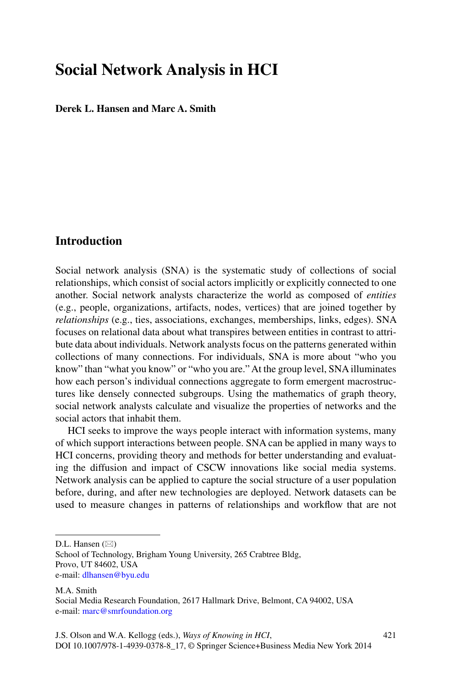# **Social Network Analysis in HCI**

 **Derek L. Hansen and Marc A. Smith** 

# **Introduction**

 Social network analysis (SNA) is the systematic study of collections of social relationships, which consist of social actors implicitly or explicitly connected to one another. Social network analysts characterize the world as composed of *entities* (e.g., people, organizations, artifacts, nodes, vertices) that are joined together by *relationships* (e.g., ties, associations, exchanges, memberships, links, edges). SNA focuses on relational data about what transpires between entities in contrast to attribute data about individuals. Network analysts focus on the patterns generated within collections of many connections. For individuals, SNA is more about "who you know" than "what you know" or "who you are." At the group level, SNA illuminates how each person's individual connections aggregate to form emergent macrostructures like densely connected subgroups. Using the mathematics of graph theory, social network analysts calculate and visualize the properties of networks and the social actors that inhabit them.

 HCI seeks to improve the ways people interact with information systems, many of which support interactions between people. SNA can be applied in many ways to HCI concerns, providing theory and methods for better understanding and evaluating the diffusion and impact of CSCW innovations like social media systems. Network analysis can be applied to capture the social structure of a user population before, during, and after new technologies are deployed. Network datasets can be used to measure changes in patterns of relationships and workflow that are not

D.L. Hansen  $(\boxtimes)$ 

School of Technology, Brigham Young University, 265 Crabtree Bldg, Provo, UT 84602, USA e-mail: [dlhansen@byu.edu](mailto:dlhansen@byu.edu)

M.A. Smith Social Media Research Foundation, 2617 Hallmark Drive, Belmont, CA 94002, USA e-mail: [marc@smrfoundation.org](mailto:marc@smrfoundation.org)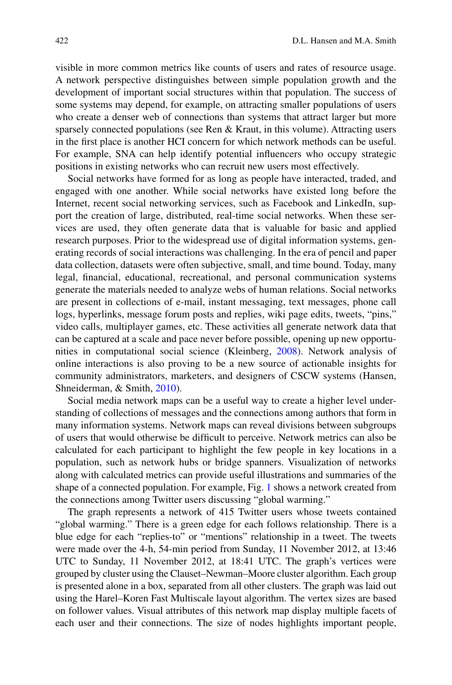visible in more common metrics like counts of users and rates of resource usage. A network perspective distinguishes between simple population growth and the development of important social structures within that population. The success of some systems may depend, for example, on attracting smaller populations of users who create a denser web of connections than systems that attract larger but more sparsely connected populations (see Ren & Kraut, in this volume). Attracting users in the first place is another HCI concern for which network methods can be useful. For example, SNA can help identify potential influencers who occupy strategic positions in existing networks who can recruit new users most effectively.

 Social networks have formed for as long as people have interacted, traded, and engaged with one another. While social networks have existed long before the Internet, recent social networking services, such as Facebook and LinkedIn, support the creation of large, distributed, real-time social networks. When these services are used, they often generate data that is valuable for basic and applied research purposes. Prior to the widespread use of digital information systems, generating records of social interactions was challenging. In the era of pencil and paper data collection, datasets were often subjective, small, and time bound. Today, many legal, financial, educational, recreational, and personal communication systems generate the materials needed to analyze webs of human relations. Social networks are present in collections of e-mail, instant messaging, text messages, phone call logs, hyperlinks, message forum posts and replies, wiki page edits, tweets, "pins," video calls, multiplayer games, etc. These activities all generate network data that can be captured at a scale and pace never before possible, opening up new opportu-nities in computational social science (Kleinberg, [2008](#page-24-0)). Network analysis of online interactions is also proving to be a new source of actionable insights for community administrators, marketers, and designers of CSCW systems (Hansen, Shneiderman, & Smith, [2010](#page-24-0)).

 Social media network maps can be a useful way to create a higher level understanding of collections of messages and the connections among authors that form in many information systems. Network maps can reveal divisions between subgroups of users that would otherwise be difficult to perceive. Network metrics can also be calculated for each participant to highlight the few people in key locations in a population, such as network hubs or bridge spanners. Visualization of networks along with calculated metrics can provide useful illustrations and summaries of the shape of a connected population. For example, Fig. [1](#page-2-0) shows a network created from the connections among Twitter users discussing "global warming."

 The graph represents a network of 415 Twitter users whose tweets contained "global warming." There is a green edge for each follows relationship. There is a blue edge for each "replies-to" or "mentions" relationship in a tweet. The tweets were made over the 4-h, 54-min period from Sunday, 11 November 2012, at 13:46 UTC to Sunday, 11 November 2012, at 18:41 UTC. The graph's vertices were grouped by cluster using the Clauset–Newman–Moore cluster algorithm. Each group is presented alone in a box, separated from all other clusters. The graph was laid out using the Harel–Koren Fast Multiscale layout algorithm. The vertex sizes are based on follower values. Visual attributes of this network map display multiple facets of each user and their connections. The size of nodes highlights important people,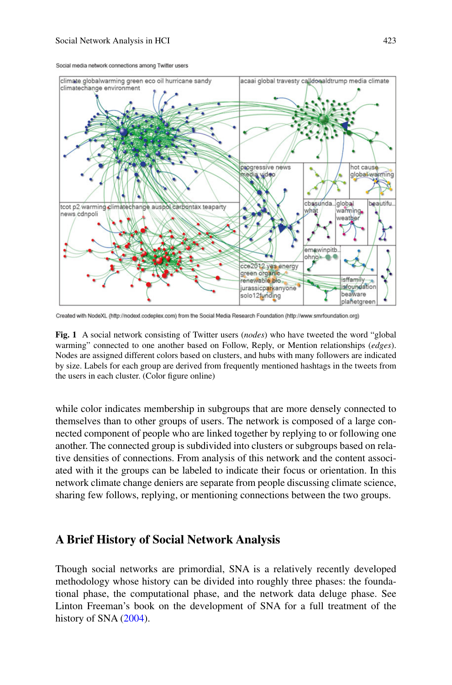<span id="page-2-0"></span>



Created with NodeXL (http://nodexl.codeplex.com) from the Social Media Research Foundation (http://www.smrfoundation.org)

Fig. 1 A social network consisting of Twitter users (*nodes*) who have tweeted the word "global warming" connected to one another based on Follow, Reply, or Mention relationships (edges). Nodes are assigned different colors based on clusters, and hubs with many followers are indicated by size. Labels for each group are derived from frequently mentioned hashtags in the tweets from the users in each cluster. (Color figure online)

while color indicates membership in subgroups that are more densely connected to themselves than to other groups of users. The network is composed of a large connected component of people who are linked together by replying to or following one another. The connected group is subdivided into clusters or subgroups based on relative densities of connections. From analysis of this network and the content associated with it the groups can be labeled to indicate their focus or orientation. In this network climate change deniers are separate from people discussing climate science, sharing few follows, replying, or mentioning connections between the two groups.

## **A Brief History of Social Network Analysis**

 Though social networks are primordial, SNA is a relatively recently developed methodology whose history can be divided into roughly three phases: the foundational phase, the computational phase, and the network data deluge phase. See Linton Freeman's book on the development of SNA for a full treatment of the history of SNA  $(2004)$ .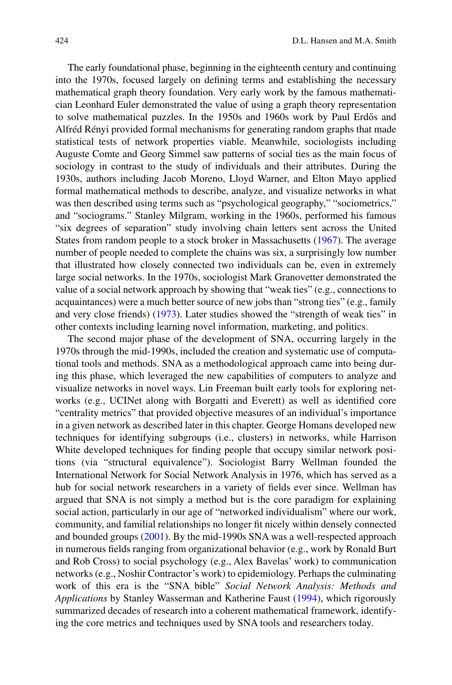The early foundational phase, beginning in the eighteenth century and continuing into the 1970s, focused largely on defining terms and establishing the necessary mathematical graph theory foundation. Very early work by the famous mathematician Leonhard Euler demonstrated the value of using a graph theory representation to solve mathematical puzzles. In the 1950s and 1960s work by Paul Erdős and Alfréd Rényi provided formal mechanisms for generating random graphs that made statistical tests of network properties viable. Meanwhile, sociologists including Auguste Comte and Georg Simmel saw patterns of social ties as the main focus of sociology in contrast to the study of individuals and their attributes. During the 1930s, authors including Jacob Moreno, Lloyd Warner, and Elton Mayo applied formal mathematical methods to describe, analyze, and visualize networks in what was then described using terms such as "psychological geography," "sociometrics," and "sociograms." Stanley Milgram, working in the 1960s, performed his famous "six degrees of separation" study involving chain letters sent across the United States from random people to a stock broker in Massachusetts [\( 1967](#page-25-0) ). The average number of people needed to complete the chains was six, a surprisingly low number that illustrated how closely connected two individuals can be, even in extremely large social networks. In the 1970s, sociologist Mark Granovetter demonstrated the value of a social network approach by showing that "weak ties" (e.g., connections to acquaintances) were a much better source of new jobs than "strong ties" (e.g., family and very close friends) (1973). Later studies showed the "strength of weak ties" in other contexts including learning novel information, marketing, and politics.

 The second major phase of the development of SNA, occurring largely in the 1970s through the mid-1990s, included the creation and systematic use of computational tools and methods. SNA as a methodological approach came into being during this phase, which leveraged the new capabilities of computers to analyze and visualize networks in novel ways. Lin Freeman built early tools for exploring networks (e.g., UCINet along with Borgatti and Everett) as well as identified core "centrality metrics" that provided objective measures of an individual's importance in a given network as described later in this chapter. George Homans developed new techniques for identifying subgroups (i.e., clusters) in networks, while Harrison White developed techniques for finding people that occupy similar network positions (via "structural equivalence"). Sociologist Barry Wellman founded the International Network for Social Network Analysis in 1976, which has served as a hub for social network researchers in a variety of fields ever since. Wellman has argued that SNA is not simply a method but is the core paradigm for explaining social action, particularly in our age of "networked individualism" where our work, community, and familial relationships no longer fi t nicely within densely connected and bounded groups  $(2001)$ . By the mid-1990s SNA was a well-respected approach in numerous fields ranging from organizational behavior (e.g., work by Ronald Burt and Rob Cross) to social psychology (e.g., Alex Bavelas' work) to communication networks (e.g., Noshir Contractor's work) to epidemiology. Perhaps the culminating work of this era is the "SNA bible" *Social Network Analysis: Methods and Applications* by Stanley Wasserman and Katherine Faust (1994), which rigorously summarized decades of research into a coherent mathematical framework, identifying the core metrics and techniques used by SNA tools and researchers today.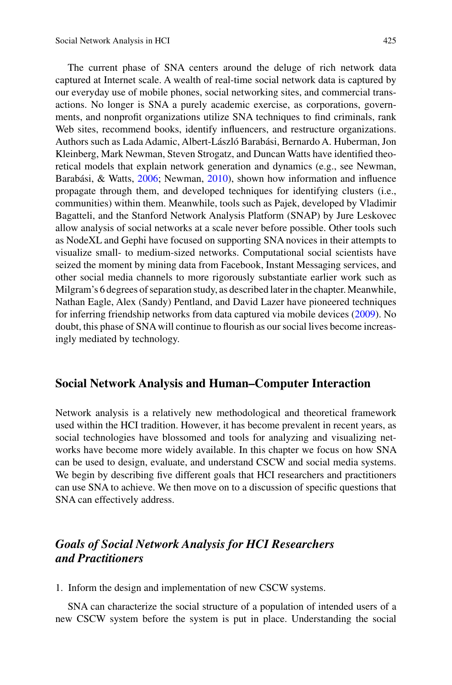The current phase of SNA centers around the deluge of rich network data captured at Internet scale. A wealth of real-time social network data is captured by our everyday use of mobile phones, social networking sites, and commercial transactions. No longer is SNA a purely academic exercise, as corporations, governments, and nonprofit organizations utilize SNA techniques to find criminals, rank Web sites, recommend books, identify influencers, and restructure organizations. Authors such as Lada Adamic, Albert-László Barabási, Bernardo A. Huberman, Jon Kleinberg, Mark Newman, Steven Strogatz, and Duncan Watts have identified theoretical models that explain network generation and dynamics (e.g., see Newman, Barabási, & Watts, 2006; Newman, 2010), shown how information and influence propagate through them, and developed techniques for identifying clusters (i.e., communities) within them. Meanwhile, tools such as Pajek, developed by Vladimir Bagatteli, and the Stanford Network Analysis Platform (SNAP) by Jure Leskovec allow analysis of social networks at a scale never before possible. Other tools such as NodeXL and Gephi have focused on supporting SNA novices in their attempts to visualize small- to medium-sized networks. Computational social scientists have seized the moment by mining data from Facebook, Instant Messaging services, and other social media channels to more rigorously substantiate earlier work such as Milgram's 6 degrees of separation study, as described later in the chapter. Meanwhile, Nathan Eagle, Alex (Sandy) Pentland, and David Lazer have pioneered techniques for inferring friendship networks from data captured via mobile devices [\( 2009](#page-23-0) ). No doubt, this phase of SNA will continue to flourish as our social lives become increasingly mediated by technology.

### **Social Network Analysis and Human–Computer Interaction**

 Network analysis is a relatively new methodological and theoretical framework used within the HCI tradition. However, it has become prevalent in recent years, as social technologies have blossomed and tools for analyzing and visualizing networks have become more widely available. In this chapter we focus on how SNA can be used to design, evaluate, and understand CSCW and social media systems. We begin by describing five different goals that HCI researchers and practitioners can use SNA to achieve. We then move on to a discussion of specific questions that SNA can effectively address.

# *Goals of Social Network Analysis for HCI Researchers and Practitioners*

1. Inform the design and implementation of new CSCW systems.

 SNA can characterize the social structure of a population of intended users of a new CSCW system before the system is put in place. Understanding the social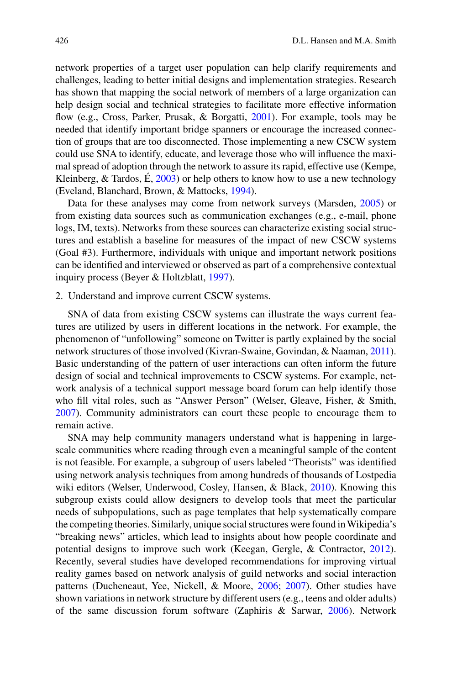network properties of a target user population can help clarify requirements and challenges, leading to better initial designs and implementation strategies. Research has shown that mapping the social network of members of a large organization can help design social and technical strategies to facilitate more effective information flow (e.g., Cross, Parker, Prusak,  $\&$  Borgatti, [2001](#page-23-0)). For example, tools may be needed that identify important bridge spanners or encourage the increased connection of groups that are too disconnected. Those implementing a new CSCW system could use SNA to identify, educate, and leverage those who will influence the maximal spread of adoption through the network to assure its rapid, effective use (Kempe, Kleinberg, & Tardos,  $\hat{E}$ , [2003](#page-24-0)) or help others to know how to use a new technology (Eveland, Blanchard, Brown, & Mattocks, [1994](#page-23-0) ).

Data for these analyses may come from network surveys (Marsden, [2005](#page-25-0)) or from existing data sources such as communication exchanges (e.g., e-mail, phone logs, IM, texts). Networks from these sources can characterize existing social structures and establish a baseline for measures of the impact of new CSCW systems (Goal #3). Furthermore, individuals with unique and important network positions can be identified and interviewed or observed as part of a comprehensive contextual inquiry process (Beyer & Holtzblatt, 1997).

2. Understand and improve current CSCW systems.

 SNA of data from existing CSCW systems can illustrate the ways current features are utilized by users in different locations in the network. For example, the phenomenon of "unfollowing" someone on Twitter is partly explained by the social network structures of those involved (Kivran-Swaine, Govindan, & Naaman, [2011 \)](#page-24-0). Basic understanding of the pattern of user interactions can often inform the future design of social and technical improvements to CSCW systems. For example, network analysis of a technical support message board forum can help identify those who fill vital roles, such as "Answer Person" (Welser, Gleave, Fisher,  $\&$  Smith, 2007). Community administrators can court these people to encourage them to remain active.

 SNA may help community managers understand what is happening in largescale communities where reading through even a meaningful sample of the content is not feasible. For example, a subgroup of users labeled "Theorists" was identified using network analysis techniques from among hundreds of thousands of Lostpedia wiki editors (Welser, Underwood, Cosley, Hansen, & Black, 2010). Knowing this subgroup exists could allow designers to develop tools that meet the particular needs of subpopulations, such as page templates that help systematically compare the competing theories. Similarly, unique social structures were found in Wikipedia's "breaking news" articles, which lead to insights about how people coordinate and potential designs to improve such work (Keegan, Gergle, & Contractor, 2012). Recently, several studies have developed recommendations for improving virtual reality games based on network analysis of guild networks and social interaction patterns (Ducheneaut, Yee, Nickell, & Moore, 2006; 2007). Other studies have shown variations in network structure by different users (e.g., teens and older adults) of the same discussion forum software (Zaphiris & Sarwar,  $2006$ ). Network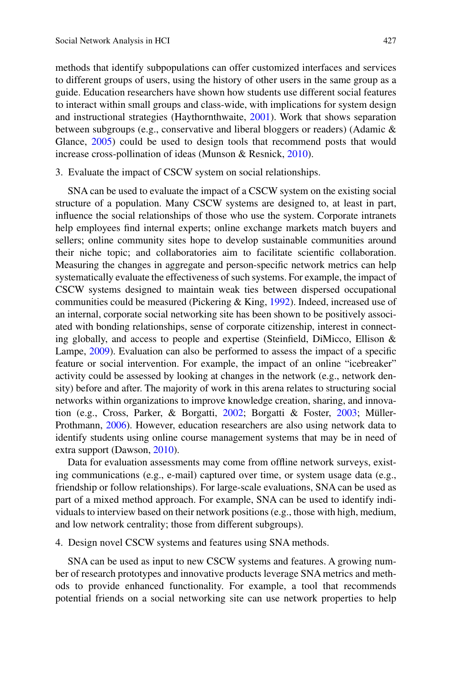methods that identify subpopulations can offer customized interfaces and services to different groups of users, using the history of other users in the same group as a guide. Education researchers have shown how students use different social features to interact within small groups and class-wide, with implications for system design and instructional strategies (Haythornthwaite, [2001](#page-24-0)). Work that shows separation between subgroups (e.g., conservative and liberal bloggers or readers) (Adamic & Glance, [2005](#page-22-0)) could be used to design tools that recommend posts that would increase cross-pollination of ideas (Munson & Resnick, [2010](#page-25-0)).

### 3. Evaluate the impact of CSCW system on social relationships.

 SNA can be used to evaluate the impact of a CSCW system on the existing social structure of a population. Many CSCW systems are designed to, at least in part, influence the social relationships of those who use the system. Corporate intranets help employees find internal experts; online exchange markets match buyers and sellers; online community sites hope to develop sustainable communities around their niche topic; and collaboratories aim to facilitate scientific collaboration. Measuring the changes in aggregate and person-specific network metrics can help systematically evaluate the effectiveness of such systems. For example, the impact of CSCW systems designed to maintain weak ties between dispersed occupational communities could be measured (Pickering  $&$  King, [1992](#page-25-0)). Indeed, increased use of an internal, corporate social networking site has been shown to be positively associated with bonding relationships, sense of corporate citizenship, interest in connecting globally, and access to people and expertise (Steinfield, DiMicco, Ellison  $\&$ Lampe,  $2009$ ). Evaluation can also be performed to assess the impact of a specific feature or social intervention. For example, the impact of an online "icebreaker" activity could be assessed by looking at changes in the network (e.g., network density) before and after. The majority of work in this arena relates to structuring social networks within organizations to improve knowledge creation, sharing, and innova-tion (e.g., Cross, Parker, & Borgatti, 2002; Borgatti & Foster, [2003](#page-23-0); Müller-Prothmann, 2006). However, education researchers are also using network data to identify students using online course management systems that may be in need of extra support (Dawson, 2010).

Data for evaluation assessments may come from offline network surveys, existing communications (e.g., e-mail) captured over time, or system usage data (e.g., friendship or follow relationships). For large-scale evaluations, SNA can be used as part of a mixed method approach. For example, SNA can be used to identify individuals to interview based on their network positions (e.g., those with high, medium, and low network centrality; those from different subgroups).

#### 4. Design novel CSCW systems and features using SNA methods.

 SNA can be used as input to new CSCW systems and features. A growing number of research prototypes and innovative products leverage SNA metrics and methods to provide enhanced functionality. For example, a tool that recommends potential friends on a social networking site can use network properties to help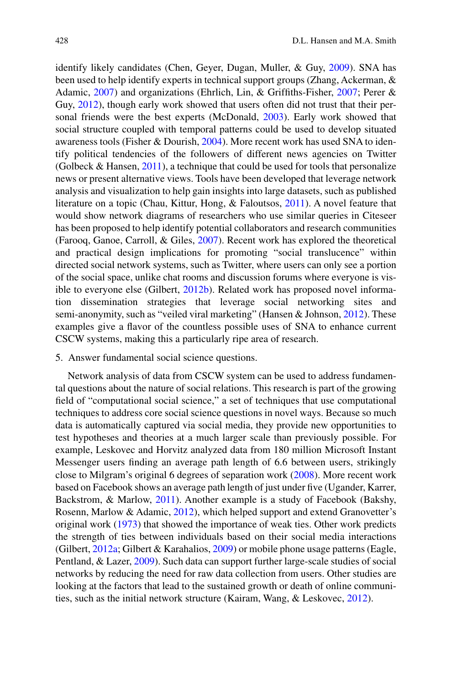identify likely candidates (Chen, Geyer, Dugan, Muller, & Guy, 2009). SNA has been used to help identify experts in technical support groups (Zhang, Ackerman, & Adamic, [2007](#page-26-0)) and organizations (Ehrlich, Lin, & Griffiths-Fisher, 2007; Perer & Guy, 2012), though early work showed that users often did not trust that their personal friends were the best experts (McDonald, [2003 \)](#page-25-0). Early work showed that social structure coupled with temporal patterns could be used to develop situated awareness tools (Fisher & Dourish, [2004](#page-24-0)). More recent work has used SNA to identify political tendencies of the followers of different news agencies on Twitter (Golbeck  $&$  Hansen, 2011), a technique that could be used for tools that personalize news or present alternative views. Tools have been developed that leverage network analysis and visualization to help gain insights into large datasets, such as published literature on a topic (Chau, Kittur, Hong, & Faloutsos, [2011 \)](#page-23-0). A novel feature that would show network diagrams of researchers who use similar queries in Citeseer has been proposed to help identify potential collaborators and research communities (Farooq, Ganoe, Carroll, & Giles, [2007](#page-23-0) ). Recent work has explored the theoretical and practical design implications for promoting "social translucence" within directed social network systems, such as Twitter, where users can only see a portion of the social space, unlike chat rooms and discussion forums where everyone is vis-ible to everyone else (Gilbert, [2012b](#page-24-0)). Related work has proposed novel information dissemination strategies that leverage social networking sites and semi-anonymity, such as "veiled viral marketing" (Hansen & Johnson, 2012). These examples give a flavor of the countless possible uses of SNA to enhance current CSCW systems, making this a particularly ripe area of research.

### 5. Answer fundamental social science questions.

 Network analysis of data from CSCW system can be used to address fundamental questions about the nature of social relations. This research is part of the growing fi eld of "computational social science," a set of techniques that use computational techniques to address core social science questions in novel ways. Because so much data is automatically captured via social media, they provide new opportunities to test hypotheses and theories at a much larger scale than previously possible. For example, Leskovec and Horvitz analyzed data from 180 million Microsoft Instant Messenger users finding an average path length of 6.6 between users, strikingly close to Milgram's original 6 degrees of separation work (2008). More recent work based on Facebook shows an average path length of just under five (Ugander, Karrer, Backstrom, & Marlow, [2011 \)](#page-25-0). Another example is a study of Facebook (Bakshy, Rosenn, Marlow & Adamic, 2012), which helped support and extend Granovetter's original work  $(1973)$  that showed the importance of weak ties. Other work predicts the strength of ties between individuals based on their social media interactions (Gilbert, [2012a](#page-24-0); Gilbert & Karahalios, 2009) or mobile phone usage patterns (Eagle, Pentland, & Lazer, [2009](#page-23-0)). Such data can support further large-scale studies of social networks by reducing the need for raw data collection from users. Other studies are looking at the factors that lead to the sustained growth or death of online communities, such as the initial network structure (Kairam, Wang, & Leskovec, 2012).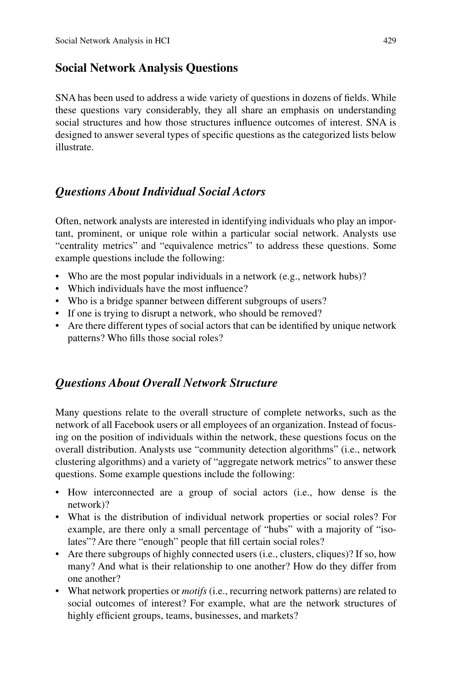# **Social Network Analysis Questions**

SNA has been used to address a wide variety of questions in dozens of fields. While these questions vary considerably, they all share an emphasis on understanding social structures and how those structures influence outcomes of interest. SNA is designed to answer several types of specific questions as the categorized lists below illustrate.

# *Questions About Individual Social Actors*

 Often, network analysts are interested in identifying individuals who play an important, prominent, or unique role within a particular social network. Analysts use "centrality metrics" and "equivalence metrics" to address these questions. Some example questions include the following:

- Who are the most popular individuals in a network (e.g., network hubs)?
- Which individuals have the most influence?
- Who is a bridge spanner between different subgroups of users?
- If one is trying to disrupt a network, who should be removed?
- Are there different types of social actors that can be identified by unique network patterns? Who fills those social roles?

# *Questions About Overall Network Structure*

 Many questions relate to the overall structure of complete networks, such as the network of all Facebook users or all employees of an organization. Instead of focusing on the position of individuals within the network, these questions focus on the overall distribution. Analysts use "community detection algorithms" (i.e., network clustering algorithms) and a variety of "aggregate network metrics" to answer these questions. Some example questions include the following:

- How interconnected are a group of social actors (i.e., how dense is the network)?
- What is the distribution of individual network properties or social roles? For example, are there only a small percentage of "hubs" with a majority of "isolates"? Are there "enough" people that fill certain social roles?
- Are there subgroups of highly connected users (i.e., clusters, cliques)? If so, how many? And what is their relationship to one another? How do they differ from one another?
- What network properties or *motifs* (i.e., recurring network patterns) are related to social outcomes of interest? For example, what are the network structures of highly efficient groups, teams, businesses, and markets?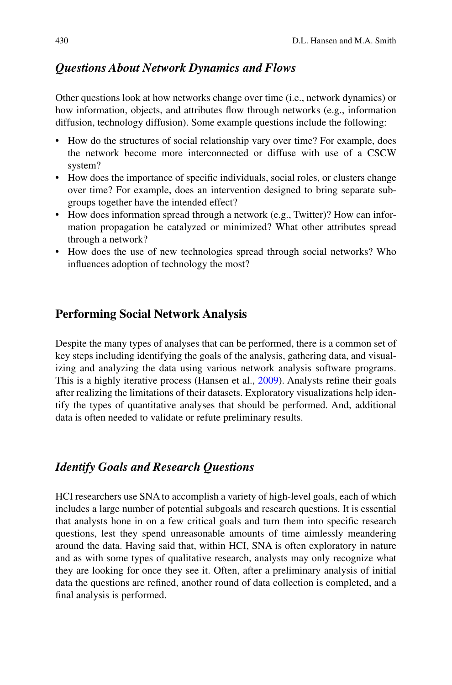# *Questions About Network Dynamics and Flows*

 Other questions look at how networks change over time (i.e., network dynamics) or how information, objects, and attributes flow through networks (e.g., information diffusion, technology diffusion). Some example questions include the following:

- How do the structures of social relationship vary over time? For example, does the network become more interconnected or diffuse with use of a CSCW system?
- How does the importance of specific individuals, social roles, or clusters change over time? For example, does an intervention designed to bring separate subgroups together have the intended effect?
- How does information spread through a network (e.g., Twitter)? How can information propagation be catalyzed or minimized? What other attributes spread through a network?
- How does the use of new technologies spread through social networks? Who influences adoption of technology the most?

# **Performing Social Network Analysis**

 Despite the many types of analyses that can be performed, there is a common set of key steps including identifying the goals of the analysis, gathering data, and visualizing and analyzing the data using various network analysis software programs. This is a highly iterative process (Hansen et al., 2009). Analysts refine their goals after realizing the limitations of their datasets. Exploratory visualizations help identify the types of quantitative analyses that should be performed. And, additional data is often needed to validate or refute preliminary results.

# *Identify Goals and Research Questions*

 HCI researchers use SNA to accomplish a variety of high-level goals, each of which includes a large number of potential subgoals and research questions. It is essential that analysts hone in on a few critical goals and turn them into specific research questions, lest they spend unreasonable amounts of time aimlessly meandering around the data. Having said that, within HCI, SNA is often exploratory in nature and as with some types of qualitative research, analysts may only recognize what they are looking for once they see it. Often, after a preliminary analysis of initial data the questions are refined, another round of data collection is completed, and a final analysis is performed.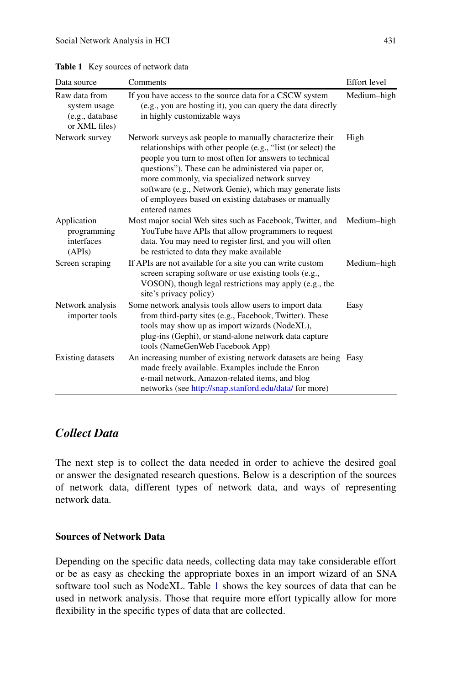| Data source                                                       | Comments                                                                                                                                                                                                                                                                                                                                                                                                                          | <b>Effort</b> level |
|-------------------------------------------------------------------|-----------------------------------------------------------------------------------------------------------------------------------------------------------------------------------------------------------------------------------------------------------------------------------------------------------------------------------------------------------------------------------------------------------------------------------|---------------------|
| Raw data from<br>system usage<br>(e.g., database<br>or XML files) | If you have access to the source data for a CSCW system<br>(e.g., you are hosting it), you can query the data directly<br>in highly customizable ways                                                                                                                                                                                                                                                                             | Medium-high         |
| Network survey                                                    | Network surveys ask people to manually characterize their<br>relationships with other people (e.g., "list (or select) the<br>people you turn to most often for answers to technical<br>questions"). These can be administered via paper or,<br>more commonly, via specialized network survey<br>software (e.g., Network Genie), which may generate lists<br>of employees based on existing databases or manually<br>entered names | High                |
| Application<br>programming<br>interfaces<br>(APIs)                | Most major social Web sites such as Facebook, Twitter, and<br>YouTube have APIs that allow programmers to request<br>data. You may need to register first, and you will often<br>be restricted to data they make available                                                                                                                                                                                                        | Medium-high         |
| Screen scraping                                                   | If APIs are not available for a site you can write custom<br>Medium-high<br>screen scraping software or use existing tools (e.g.,<br>VOSON), though legal restrictions may apply (e.g., the<br>site's privacy policy)                                                                                                                                                                                                             |                     |
| Network analysis<br>importer tools                                | Some network analysis tools allow users to import data<br>from third-party sites (e.g., Facebook, Twitter). These<br>tools may show up as import wizards (NodeXL),<br>plug-ins (Gephi), or stand-alone network data capture<br>tools (NameGenWeb Facebook App)                                                                                                                                                                    | Easy                |
| Existing datasets                                                 | An increasing number of existing network datasets are being Easy<br>made freely available. Examples include the Enron<br>e-mail network, Amazon-related items, and blog<br>networks (see http://snap.stanford.edu/data/ for more)                                                                                                                                                                                                 |                     |

 **Table 1** Key sources of network data

# *Collect Data*

 The next step is to collect the data needed in order to achieve the desired goal or answer the designated research questions. Below is a description of the sources of network data, different types of network data, and ways of representing network data.

### **Sources of Network Data**

Depending on the specific data needs, collecting data may take considerable effort or be as easy as checking the appropriate boxes in an import wizard of an SNA software tool such as NodeXL. Table 1 shows the key sources of data that can be used in network analysis. Those that require more effort typically allow for more flexibility in the specific types of data that are collected.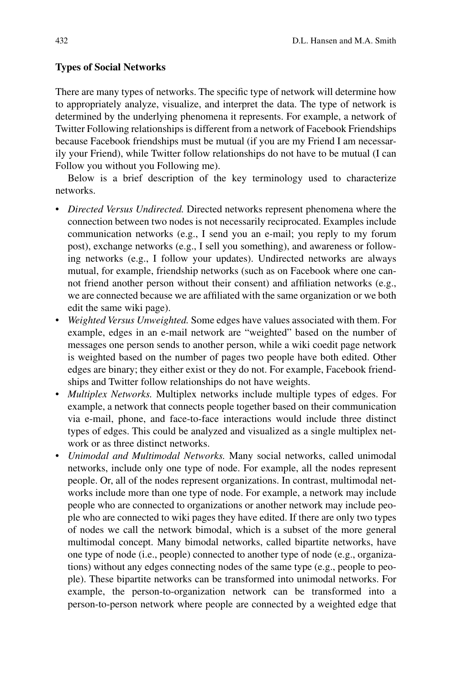### **Types of Social Networks**

There are many types of networks. The specific type of network will determine how to appropriately analyze, visualize, and interpret the data. The type of network is determined by the underlying phenomena it represents. For example, a network of Twitter Following relationships is different from a network of Facebook Friendships because Facebook friendships must be mutual (if you are my Friend I am necessarily your Friend), while Twitter follow relationships do not have to be mutual (I can Follow you without you Following me).

 Below is a brief description of the key terminology used to characterize networks.

- *Directed Versus Undirected.* Directed networks represent phenomena where the connection between two nodes is not necessarily reciprocated. Examples include communication networks (e.g., I send you an e-mail; you reply to my forum post), exchange networks (e.g., I sell you something), and awareness or following networks (e.g., I follow your updates). Undirected networks are always mutual, for example, friendship networks (such as on Facebook where one cannot friend another person without their consent) and affiliation networks (e.g., we are connected because we are affiliated with the same organization or we both edit the same wiki page).
- *Weighted Versus Unweighted.* Some edges have values associated with them. For example, edges in an e-mail network are "weighted" based on the number of messages one person sends to another person, while a wiki coedit page network is weighted based on the number of pages two people have both edited. Other edges are binary; they either exist or they do not. For example, Facebook friendships and Twitter follow relationships do not have weights.
- *Multiplex Networks.* Multiplex networks include multiple types of edges. For example, a network that connects people together based on their communication via e-mail, phone, and face-to-face interactions would include three distinct types of edges. This could be analyzed and visualized as a single multiplex network or as three distinct networks.
- *Unimodal and Multimodal Networks.* Many social networks, called unimodal networks, include only one type of node. For example, all the nodes represent people. Or, all of the nodes represent organizations. In contrast, multimodal networks include more than one type of node. For example, a network may include people who are connected to organizations or another network may include people who are connected to wiki pages they have edited. If there are only two types of nodes we call the network bimodal, which is a subset of the more general multimodal concept. Many bimodal networks, called bipartite networks, have one type of node (i.e., people) connected to another type of node (e.g., organizations) without any edges connecting nodes of the same type (e.g., people to people). These bipartite networks can be transformed into unimodal networks. For example, the person-to-organization network can be transformed into a person-to- person network where people are connected by a weighted edge that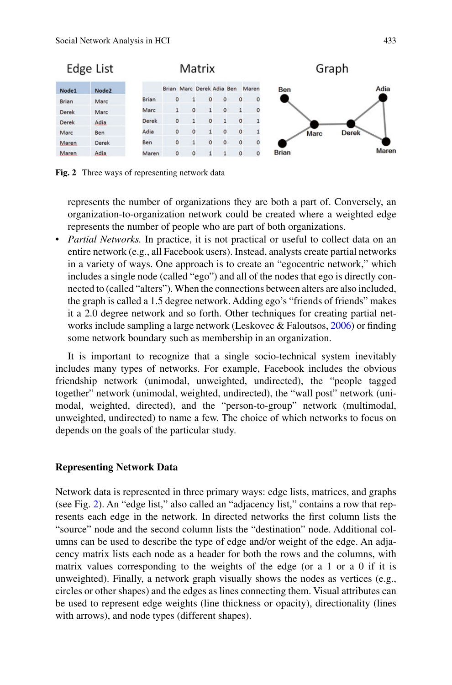

 **Fig. 2** Three ways of representing network data

represents the number of organizations they are both a part of. Conversely, an organization-to-organization network could be created where a weighted edge represents the number of people who are part of both organizations.

• *Partial Networks.* In practice, it is not practical or useful to collect data on an entire network (e.g., all Facebook users). Instead, analysts create partial networks in a variety of ways. One approach is to create an "egocentric network," which includes a single node (called "ego") and all of the nodes that ego is directly connected to (called "alters"). When the connections between alters are also included, the graph is called a 1.5 degree network. Adding ego's "friends of friends" makes it a 2.0 degree network and so forth. Other techniques for creating partial networks include sampling a large network (Leskovec  $\&$  Faloutsos, 2006) or finding some network boundary such as membership in an organization.

 It is important to recognize that a single socio-technical system inevitably includes many types of networks. For example, Facebook includes the obvious friendship network (unimodal, unweighted, undirected), the "people tagged together" network (unimodal, weighted, undirected), the "wall post" network (unimodal, weighted, directed), and the "person-to-group" network (multimodal, unweighted, undirected) to name a few. The choice of which networks to focus on depends on the goals of the particular study.

#### **Representing Network Data**

 Network data is represented in three primary ways: edge lists, matrices, and graphs (see Fig. 2). An "edge list," also called an "adjacency list," contains a row that represents each edge in the network. In directed networks the first column lists the "source" node and the second column lists the "destination" node. Additional columns can be used to describe the type of edge and/or weight of the edge. An adjacency matrix lists each node as a header for both the rows and the columns, with matrix values corresponding to the weights of the edge (or a 1 or a 0 if it is unweighted). Finally, a network graph visually shows the nodes as vertices (e.g., circles or other shapes) and the edges as lines connecting them. Visual attributes can be used to represent edge weights (line thickness or opacity), directionality (lines with arrows), and node types (different shapes).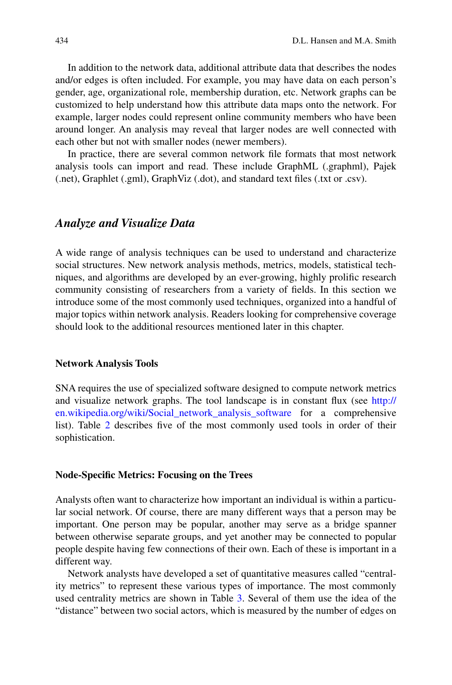In addition to the network data, additional attribute data that describes the nodes and/or edges is often included. For example, you may have data on each person's gender, age, organizational role, membership duration, etc. Network graphs can be customized to help understand how this attribute data maps onto the network. For example, larger nodes could represent online community members who have been around longer. An analysis may reveal that larger nodes are well connected with each other but not with smaller nodes (newer members).

In practice, there are several common network file formats that most network analysis tools can import and read. These include GraphML (.graphml), Pajek (.net), Graphlet (.gml), GraphViz (.dot), and standard text files (.txt or .csv).

### *Analyze and Visualize Data*

 A wide range of analysis techniques can be used to understand and characterize social structures. New network analysis methods, metrics, models, statistical techniques, and algorithms are developed by an ever-growing, highly prolific research community consisting of researchers from a variety of fields. In this section we introduce some of the most commonly used techniques, organized into a handful of major topics within network analysis. Readers looking for comprehensive coverage should look to the additional resources mentioned later in this chapter.

#### **Network Analysis Tools**

 SNA requires the use of specialized software designed to compute network metrics and visualize network graphs. The tool landscape is in constant flux (see [http://](http://en.wikipedia.org/wiki/Social_network_analysis_software) [en.wikipedia.org/wiki/Social\\_network\\_analysis\\_software](http://en.wikipedia.org/wiki/Social_network_analysis_software) for a comprehensive list). Table [2](#page-14-0) describes five of the most commonly used tools in order of their sophistication.

### **Node-Specific Metrics: Focusing on the Trees**

 Analysts often want to characterize how important an individual is within a particular social network. Of course, there are many different ways that a person may be important. One person may be popular, another may serve as a bridge spanner between otherwise separate groups, and yet another may be connected to popular people despite having few connections of their own. Each of these is important in a different way.

 Network analysts have developed a set of quantitative measures called "centrality metrics" to represent these various types of importance. The most commonly used centrality metrics are shown in Table 3. Several of them use the idea of the "distance" between two social actors, which is measured by the number of edges on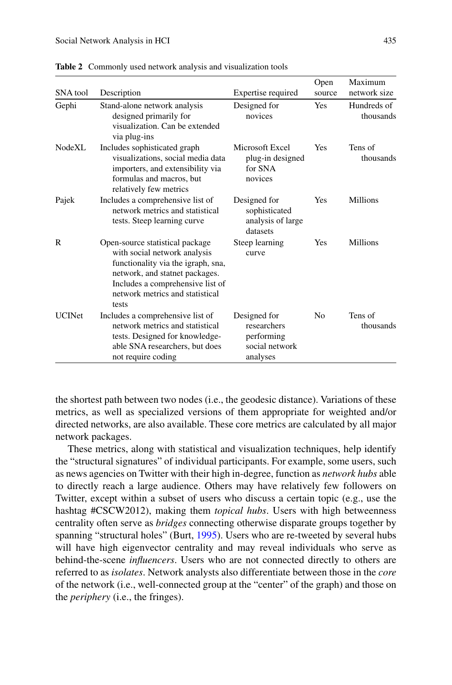| SNA tool      | Description                                                                                                                                                                                                             | Expertise required                                                      | Open<br>source | Maximum<br>network size  |
|---------------|-------------------------------------------------------------------------------------------------------------------------------------------------------------------------------------------------------------------------|-------------------------------------------------------------------------|----------------|--------------------------|
| Gephi         | Stand-alone network analysis<br>designed primarily for<br>visualization. Can be extended<br>via plug-ins                                                                                                                | Designed for<br>novices                                                 | Yes            | Hundreds of<br>thousands |
| NodeXL        | Includes sophisticated graph<br>visualizations, social media data<br>importers, and extensibility via<br>formulas and macros, but<br>relatively few metrics                                                             | Microsoft Excel<br>plug-in designed<br>for SNA<br>novices               | Yes            | Tens of<br>thousands     |
| Pajek         | Includes a comprehensive list of<br>network metrics and statistical<br>tests. Steep learning curve                                                                                                                      | Designed for<br>sophisticated<br>analysis of large<br>datasets          | Yes            | Millions                 |
| R             | Open-source statistical package<br>with social network analysis<br>functionality via the igraph, sna,<br>network, and statnet packages.<br>Includes a comprehensive list of<br>network metrics and statistical<br>tests | Steep learning<br>curve                                                 | Yes            | <b>Millions</b>          |
| <b>UCINet</b> | Includes a comprehensive list of<br>network metrics and statistical<br>tests. Designed for knowledge-<br>able SNA researchers, but does<br>not require coding                                                           | Designed for<br>researchers<br>performing<br>social network<br>analyses | N <sub>0</sub> | Tens of<br>thousands     |

<span id="page-14-0"></span> **Table 2** Commonly used network analysis and visualization tools

the shortest path between two nodes (i.e., the geodesic distance). Variations of these metrics, as well as specialized versions of them appropriate for weighted and/or directed networks, are also available. These core metrics are calculated by all major network packages.

 These metrics, along with statistical and visualization techniques, help identify the "structural signatures" of individual participants. For example, some users, such as news agencies on Twitter with their high in-degree, function as *network hubs* able to directly reach a large audience. Others may have relatively few followers on Twitter, except within a subset of users who discuss a certain topic (e.g., use the hashtag #CSCW2012), making them *topical hubs* . Users with high betweenness centrality often serve as *bridges* connecting otherwise disparate groups together by spanning "structural holes" (Burt, [1995](#page-23-0)). Users who are re-tweeted by several hubs will have high eigenvector centrality and may reveal individuals who serve as behind-the-scene *influencers*. Users who are not connected directly to others are referred to as *isolates* . Network analysts also differentiate between those in the *core* of the network (i.e., well-connected group at the "center" of the graph) and those on the *periphery* (i.e., the fringes).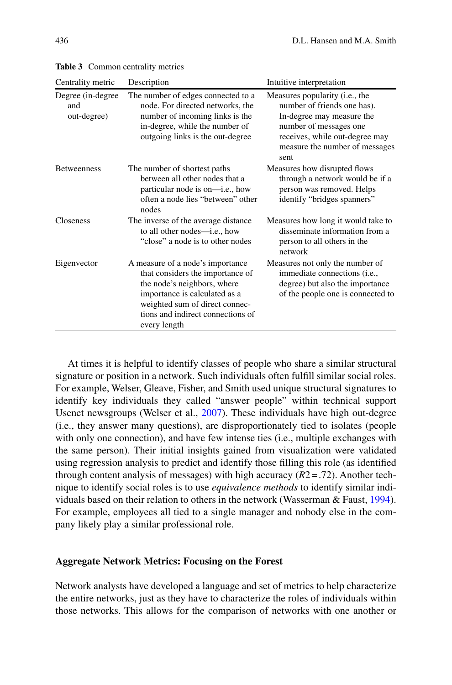| Centrality metric                        | Description                                                                                                                                                                                                                 | Intuitive interpretation                                                                                                                                                                                  |
|------------------------------------------|-----------------------------------------------------------------------------------------------------------------------------------------------------------------------------------------------------------------------------|-----------------------------------------------------------------------------------------------------------------------------------------------------------------------------------------------------------|
| Degree (in-degree)<br>and<br>out-degree) | The number of edges connected to a<br>node. For directed networks, the<br>number of incoming links is the<br>in-degree, while the number of<br>outgoing links is the out-degree                                             | Measures popularity ( <i>i.e.</i> , the<br>number of friends one has).<br>In-degree may measure the<br>number of messages one<br>receives, while out-degree may<br>measure the number of messages<br>sent |
| <b>Betweenness</b>                       | The number of shortest paths<br>between all other nodes that a<br>particular node is on—i.e., how<br>often a node lies "between" other<br>nodes                                                                             | Measures how disrupted flows<br>through a network would be if a<br>person was removed. Helps<br>identify "bridges spanners"                                                                               |
| <b>Closeness</b>                         | The inverse of the average distance.<br>to all other nodes—i.e., how<br>"close" a node is to other nodes                                                                                                                    | Measures how long it would take to<br>disseminate information from a<br>person to all others in the<br>network                                                                                            |
| Eigenvector                              | A measure of a node's importance<br>that considers the importance of<br>the node's neighbors, where<br>importance is calculated as a<br>weighted sum of direct connec-<br>tions and indirect connections of<br>every length | Measures not only the number of<br>immediate connections (i.e.,<br>degree) but also the importance<br>of the people one is connected to                                                                   |

<span id="page-15-0"></span> **Table 3** Common centrality metrics

 At times it is helpful to identify classes of people who share a similar structural signature or position in a network. Such individuals often fulfill similar social roles. For example, Welser, Gleave, Fisher, and Smith used unique structural signatures to identify key individuals they called "answer people" within technical support Usenet newsgroups (Welser et al., 2007). These individuals have high out-degree (i.e., they answer many questions), are disproportionately tied to isolates (people with only one connection), and have few intense ties (i.e., multiple exchanges with the same person). Their initial insights gained from visualization were validated using regression analysis to predict and identify those filling this role (as identified through content analysis of messages) with high accuracy  $(R2 = .72)$ . Another technique to identify social roles is to use *equivalence methods* to identify similar individuals based on their relation to others in the network (Wasserman  $&$  Faust, 1994). For example, employees all tied to a single manager and nobody else in the company likely play a similar professional role.

#### **Aggregate Network Metrics: Focusing on the Forest**

 Network analysts have developed a language and set of metrics to help characterize the entire networks, just as they have to characterize the roles of individuals within those networks. This allows for the comparison of networks with one another or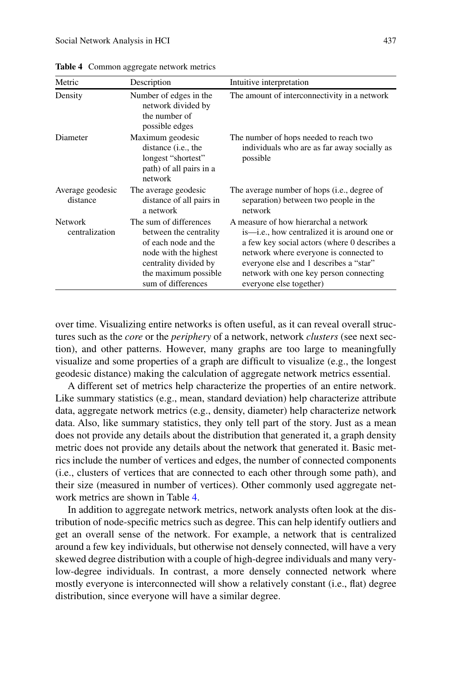| Metric                           | Description                                                                                                                                                               | Intuitive interpretation                                                                                                                                                                                                                                                                       |
|----------------------------------|---------------------------------------------------------------------------------------------------------------------------------------------------------------------------|------------------------------------------------------------------------------------------------------------------------------------------------------------------------------------------------------------------------------------------------------------------------------------------------|
| Density                          | Number of edges in the<br>network divided by<br>the number of<br>possible edges                                                                                           | The amount of interconnectivity in a network                                                                                                                                                                                                                                                   |
| Diameter                         | Maximum geodesic<br>distance ( <i>i.e.</i> , the<br>longest "shortest"<br>path) of all pairs in a<br>network                                                              | The number of hops needed to reach two<br>individuals who are as far away socially as<br>possible                                                                                                                                                                                              |
| Average geodesic<br>distance     | The average geodesic<br>distance of all pairs in<br>a network                                                                                                             | The average number of hops ( <i>i.e.</i> , degree of<br>separation) between two people in the<br>network                                                                                                                                                                                       |
| <b>Network</b><br>centralization | The sum of differences<br>between the centrality<br>of each node and the<br>node with the highest<br>centrality divided by<br>the maximum possible.<br>sum of differences | A measure of how hierarchal a network<br>is—i.e., how centralized it is around one or<br>a few key social actors (where 0 describes a<br>network where everyone is connected to<br>everyone else and 1 describes a "star"<br>network with one key person connecting<br>everyone else together) |

 **Table 4** Common aggregate network metrics

over time. Visualizing entire networks is often useful, as it can reveal overall structures such as the *core* or the *periphery* of a network, network *clusters* (see next section), and other patterns. However, many graphs are too large to meaningfully visualize and some properties of a graph are difficult to visualize  $(e.g., the longest$ geodesic distance) making the calculation of aggregate network metrics essential.

 A different set of metrics help characterize the properties of an entire network. Like summary statistics (e.g., mean, standard deviation) help characterize attribute data, aggregate network metrics (e.g., density, diameter) help characterize network data. Also, like summary statistics, they only tell part of the story. Just as a mean does not provide any details about the distribution that generated it, a graph density metric does not provide any details about the network that generated it. Basic metrics include the number of vertices and edges, the number of connected components (i.e., clusters of vertices that are connected to each other through some path), and their size (measured in number of vertices). Other commonly used aggregate network metrics are shown in Table 4.

 In addition to aggregate network metrics, network analysts often look at the distribution of node-specific metrics such as degree. This can help identify outliers and get an overall sense of the network. For example, a network that is centralized around a few key individuals, but otherwise not densely connected, will have a very skewed degree distribution with a couple of high-degree individuals and many verylow- degree individuals. In contrast, a more densely connected network where mostly everyone is interconnected will show a relatively constant (i.e., flat) degree distribution, since everyone will have a similar degree.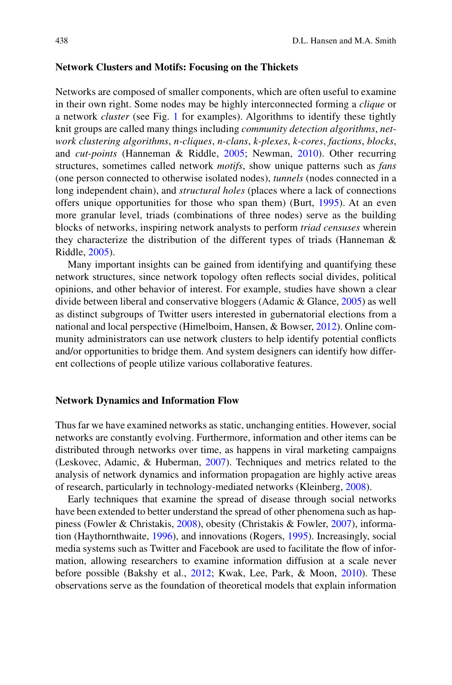#### **Network Clusters and Motifs: Focusing on the Thickets**

 Networks are composed of smaller components, which are often useful to examine in their own right. Some nodes may be highly interconnected forming a *clique* or a network *cluster* (see Fig. [1](#page-2-0) for examples). Algorithms to identify these tightly knit groups are called many things including *community detection algorithms* , *network clustering algorithms* , *n-cliques* , *n-clans* , *k-plexes* , *k-cores* , *factions* , *blocks* , and *cut-points* (Hanneman & Riddle, [2005](#page-24-0); Newman, 2010). Other recurring structures, sometimes called network *motifs* , show unique patterns such as *fans* (one person connected to otherwise isolated nodes), *tunnels* (nodes connected in a long independent chain), and *structural holes* (places where a lack of connections offers unique opportunities for those who span them) (Burt, 1995). At an even more granular level, triads (combinations of three nodes) serve as the building blocks of networks, inspiring network analysts to perform *triad censuses* wherein they characterize the distribution of the different types of triads (Hanneman & Riddle, [2005](#page-24-0) ).

 Many important insights can be gained from identifying and quantifying these network structures, since network topology often reflects social divides, political opinions, and other behavior of interest. For example, studies have shown a clear divide between liberal and conservative bloggers (Adamic  $\&$  Glance, [2005](#page-22-0)) as well as distinct subgroups of Twitter users interested in gubernatorial elections from a national and local perspective (Himelboim, Hansen, & Bowser, [2012 \)](#page-24-0). Online community administrators can use network clusters to help identify potential conflicts and/or opportunities to bridge them. And system designers can identify how different collections of people utilize various collaborative features.

### **Network Dynamics and Information Flow**

 Thus far we have examined networks as static, unchanging entities. However, social networks are constantly evolving. Furthermore, information and other items can be distributed through networks over time, as happens in viral marketing campaigns (Leskovec, Adamic, & Huberman, 2007). Techniques and metrics related to the analysis of network dynamics and information propagation are highly active areas of research, particularly in technology-mediated networks (Kleinberg, [2008](#page-24-0) ).

 Early techniques that examine the spread of disease through social networks have been extended to better understand the spread of other phenomena such as hap-piness (Fowler & Christakis, 2008), obesity (Christakis & Fowler, [2007](#page-23-0)), information (Haythornthwaite, 1996), and innovations (Rogers, 1995). Increasingly, social media systems such as Twitter and Facebook are used to facilitate the flow of information, allowing researchers to examine information diffusion at a scale never before possible (Bakshy et al.,  $2012$ ; Kwak, Lee, Park, & Moon,  $2010$ ). These observations serve as the foundation of theoretical models that explain information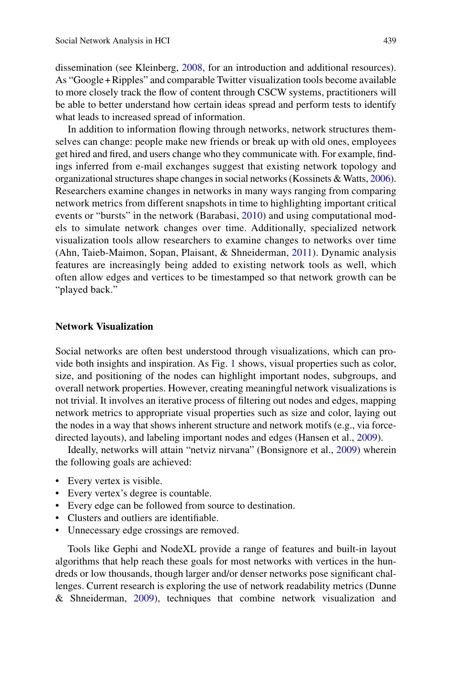dissemination (see Kleinberg, 2008, for an introduction and additional resources). As "Google + Ripples" and comparable Twitter visualization tools become available to more closely track the flow of content through CSCW systems, practitioners will be able to better understand how certain ideas spread and perform tests to identify what leads to increased spread of information.

In addition to information flowing through networks, network structures themselves can change: people make new friends or break up with old ones, employees get hired and fired, and users change who they communicate with. For example, findings inferred from e-mail exchanges suggest that existing network topology and organizational structures shape changes in social networks (Kossinets & Watts, [2006 \)](#page-25-0). Researchers examine changes in networks in many ways ranging from comparing network metrics from different snapshots in time to highlighting important critical events or "bursts" in the network (Barabasi, [2010](#page-22-0)) and using computational models to simulate network changes over time. Additionally, specialized network visualization tools allow researchers to examine changes to networks over time (Ahn, Taieb-Maimon, Sopan, Plaisant, & Shneiderman, [2011 \)](#page-22-0). Dynamic analysis features are increasingly being added to existing network tools as well, which often allow edges and vertices to be timestamped so that network growth can be "played back."

#### **Network Visualization**

 Social networks are often best understood through visualizations, which can provide both insights and inspiration. As Fig. [1](#page-2-0) shows, visual properties such as color, size, and positioning of the nodes can highlight important nodes, subgroups, and overall network properties. However, creating meaningful network visualizations is not trivial. It involves an iterative process of filtering out nodes and edges, mapping network metrics to appropriate visual properties such as size and color, laying out the nodes in a way that shows inherent structure and network motifs (e.g., via force-directed layouts), and labeling important nodes and edges (Hansen et al., [2009](#page-24-0)).

Ideally, networks will attain "netviz nirvana" (Bonsignore et al., [2009](#page-22-0)) wherein the following goals are achieved:

- Every vertex is visible.
- Every vertex's degree is countable.
- Every edge can be followed from source to destination.
- Clusters and outliers are identifiable.
- Unnecessary edge crossings are removed.

 Tools like Gephi and NodeXL provide a range of features and built-in layout algorithms that help reach these goals for most networks with vertices in the hundreds or low thousands, though larger and/or denser networks pose significant challenges. Current research is exploring the use of network readability metrics (Dunne & Shneiderman, 2009), techniques that combine network visualization and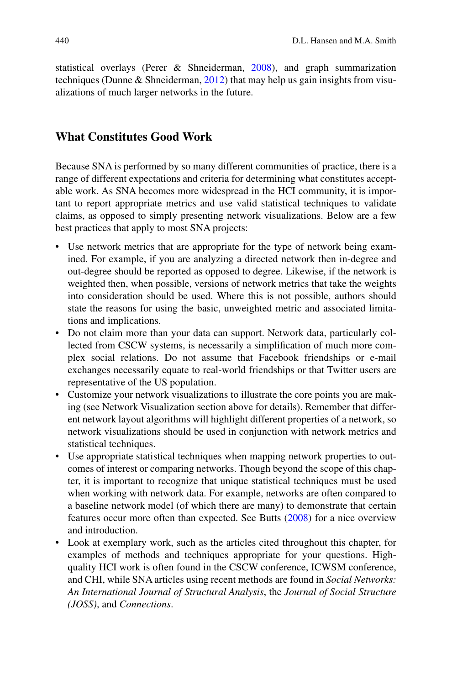statistical overlays (Perer & Shneiderman, [2008](#page-25-0)), and graph summarization techniques (Dunne & Shneiderman,  $2012$ ) that may help us gain insights from visualizations of much larger networks in the future.

# **What Constitutes Good Work**

 Because SNA is performed by so many different communities of practice, there is a range of different expectations and criteria for determining what constitutes acceptable work. As SNA becomes more widespread in the HCI community, it is important to report appropriate metrics and use valid statistical techniques to validate claims, as opposed to simply presenting network visualizations. Below are a few best practices that apply to most SNA projects:

- Use network metrics that are appropriate for the type of network being examined. For example, if you are analyzing a directed network then in-degree and out-degree should be reported as opposed to degree. Likewise, if the network is weighted then, when possible, versions of network metrics that take the weights into consideration should be used. Where this is not possible, authors should state the reasons for using the basic, unweighted metric and associated limitations and implications.
- Do not claim more than your data can support. Network data, particularly collected from CSCW systems, is necessarily a simplification of much more complex social relations. Do not assume that Facebook friendships or e-mail exchanges necessarily equate to real-world friendships or that Twitter users are representative of the US population.
- Customize your network visualizations to illustrate the core points you are making (see Network Visualization section above for details). Remember that different network layout algorithms will highlight different properties of a network, so network visualizations should be used in conjunction with network metrics and statistical techniques.
- Use appropriate statistical techniques when mapping network properties to outcomes of interest or comparing networks. Though beyond the scope of this chapter, it is important to recognize that unique statistical techniques must be used when working with network data. For example, networks are often compared to a baseline network model (of which there are many) to demonstrate that certain features occur more often than expected. See Butts  $(2008)$  for a nice overview and introduction.
- Look at exemplary work, such as the articles cited throughout this chapter, for examples of methods and techniques appropriate for your questions. Highquality HCI work is often found in the CSCW conference, ICWSM conference, and CHI, while SNA articles using recent methods are found in *Social Networks: An International Journal of Structural Analysis* , the *Journal of Social Structure (JOSS)* , and *Connections* .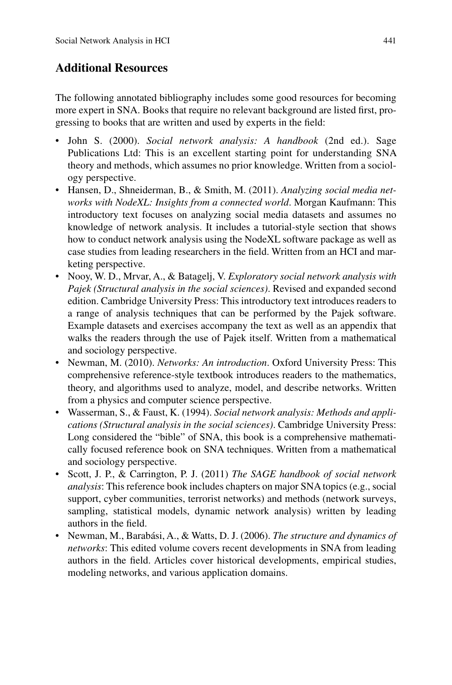# **Additional Resources**

 The following annotated bibliography includes some good resources for becoming more expert in SNA. Books that require no relevant background are listed first, progressing to books that are written and used by experts in the field:

- John S. (2000). *Social network analysis: A handbook* (2nd ed.). Sage Publications Ltd: This is an excellent starting point for understanding SNA theory and methods, which assumes no prior knowledge. Written from a sociology perspective.
- Hansen, D., Shneiderman, B., & Smith, M. (2011). *Analyzing social media networks with NodeXL: Insights from a connected world* . Morgan Kaufmann: This introductory text focuses on analyzing social media datasets and assumes no knowledge of network analysis. It includes a tutorial-style section that shows how to conduct network analysis using the NodeXL software package as well as case studies from leading researchers in the field. Written from an HCI and marketing perspective.
- Nooy, W. D., Mrvar, A., & Batagelj, V. *Exploratory social network analysis with Pajek (Structural analysis in the social sciences)* . Revised and expanded second edition. Cambridge University Press: This introductory text introduces readers to a range of analysis techniques that can be performed by the Pajek software. Example datasets and exercises accompany the text as well as an appendix that walks the readers through the use of Pajek itself. Written from a mathematical and sociology perspective.
- Newman, M. (2010). *Networks: An introduction* . Oxford University Press: This comprehensive reference-style textbook introduces readers to the mathematics, theory, and algorithms used to analyze, model, and describe networks. Written from a physics and computer science perspective.
- Wasserman, S., & Faust, K. (1994). *Social network analysis: Methods and applications (Structural analysis in the social sciences)* . Cambridge University Press: Long considered the "bible" of SNA, this book is a comprehensive mathematically focused reference book on SNA techniques. Written from a mathematical and sociology perspective.
- Scott, J. P., & Carrington, P. J. (2011) *The SAGE handbook of social network analysis* : This reference book includes chapters on major SNA topics (e.g., social support, cyber communities, terrorist networks) and methods (network surveys, sampling, statistical models, dynamic network analysis) written by leading authors in the field.
- Newman, M., Barabási, A., & Watts, D. J. (2006). *The structure and dynamics of networks*: This edited volume covers recent developments in SNA from leading authors in the field. Articles cover historical developments, empirical studies, modeling networks, and various application domains.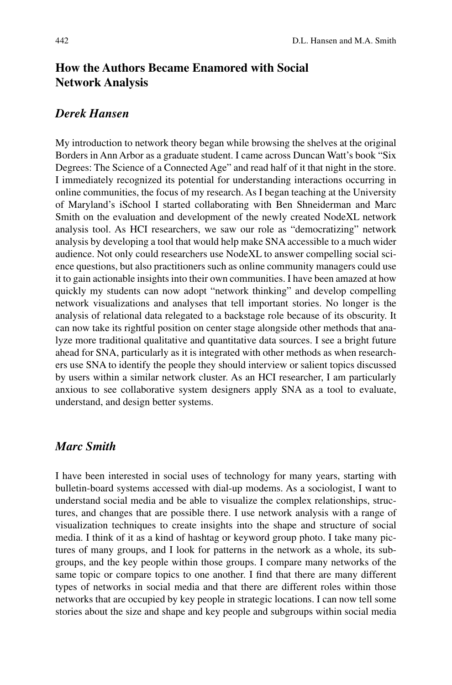# **How the Authors Became Enamored with Social Network Analysis**

## *Derek Hansen*

 My introduction to network theory began while browsing the shelves at the original Borders in Ann Arbor as a graduate student. I came across Duncan Watt's book "Six Degrees: The Science of a Connected Age" and read half of it that night in the store. I immediately recognized its potential for understanding interactions occurring in online communities, the focus of my research. As I began teaching at the University of Maryland's iSchool I started collaborating with Ben Shneiderman and Marc Smith on the evaluation and development of the newly created NodeXL network analysis tool. As HCI researchers, we saw our role as "democratizing" network analysis by developing a tool that would help make SNA accessible to a much wider audience. Not only could researchers use NodeXL to answer compelling social science questions, but also practitioners such as online community managers could use it to gain actionable insights into their own communities. I have been amazed at how quickly my students can now adopt "network thinking" and develop compelling network visualizations and analyses that tell important stories. No longer is the analysis of relational data relegated to a backstage role because of its obscurity. It can now take its rightful position on center stage alongside other methods that analyze more traditional qualitative and quantitative data sources. I see a bright future ahead for SNA, particularly as it is integrated with other methods as when researchers use SNA to identify the people they should interview or salient topics discussed by users within a similar network cluster. As an HCI researcher, I am particularly anxious to see collaborative system designers apply SNA as a tool to evaluate, understand, and design better systems.

## *Marc Smith*

 I have been interested in social uses of technology for many years, starting with bulletin-board systems accessed with dial-up modems. As a sociologist, I want to understand social media and be able to visualize the complex relationships, structures, and changes that are possible there. I use network analysis with a range of visualization techniques to create insights into the shape and structure of social media. I think of it as a kind of hashtag or keyword group photo. I take many pictures of many groups, and I look for patterns in the network as a whole, its subgroups, and the key people within those groups. I compare many networks of the same topic or compare topics to one another. I find that there are many different types of networks in social media and that there are different roles within those networks that are occupied by key people in strategic locations. I can now tell some stories about the size and shape and key people and subgroups within social media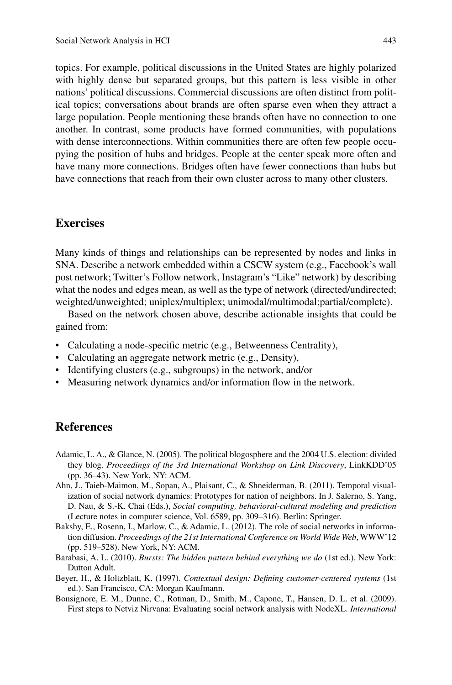<span id="page-22-0"></span>topics. For example, political discussions in the United States are highly polarized with highly dense but separated groups, but this pattern is less visible in other nations' political discussions. Commercial discussions are often distinct from political topics; conversations about brands are often sparse even when they attract a large population. People mentioning these brands often have no connection to one another. In contrast, some products have formed communities, with populations with dense interconnections. Within communities there are often few people occupying the position of hubs and bridges. People at the center speak more often and have many more connections. Bridges often have fewer connections than hubs but have connections that reach from their own cluster across to many other clusters.

## **Exercises**

 Many kinds of things and relationships can be represented by nodes and links in SNA. Describe a network embedded within a CSCW system (e.g., Facebook's wall post network; Twitter's Follow network, Instagram's "Like" network) by describing what the nodes and edges mean, as well as the type of network (directed/undirected; weighted/unweighted; uniplex/multiplex; unimodal/multimodal;partial/complete).

Based on the network chosen above, describe actionable insights that could be gained from:

- Calculating a node-specific metric (e.g., Betweenness Centrality),
- Calculating an aggregate network metric (e.g., Density),
- Identifying clusters (e.g., subgroups) in the network, and/or
- Measuring network dynamics and/or information flow in the network.

## **References**

- Adamic, L. A., & Glance, N. (2005). The political blogosphere and the 2004 U.S. election: divided they blog. *Proceedings of the 3rd International Workshop on Link Discovery* , LinkKDD'05 (pp. 36–43). New York, NY: ACM.
- Ahn, J., Taieb-Maimon, M., Sopan, A., Plaisant, C., & Shneiderman, B. (2011). Temporal visualization of social network dynamics: Prototypes for nation of neighbors. In J. Salerno, S. Yang, D. Nau, & S.-K. Chai (Eds.), *Social computing, behavioral-cultural modeling and prediction* (Lecture notes in computer science, Vol. 6589, pp. 309–316). Berlin: Springer.
- Bakshy, E., Rosenn, I., Marlow, C., & Adamic, L. (2012). The role of social networks in information diffusion. *Proceedings of the 21st International Conference on World Wide Web* , WWW'12 (pp. 519–528). New York, NY: ACM.
- Barabasi, A. L. (2010). *Bursts: The hidden pattern behind everything we do* (1st ed.). New York: Dutton Adult.
- Beyer, H., & Holtzblatt, K. (1997). *Contextual design: Defining customer-centered systems* (1st ed.). San Francisco, CA: Morgan Kaufmann.
- Bonsignore, E. M., Dunne, C., Rotman, D., Smith, M., Capone, T., Hansen, D. L. et al. (2009). First steps to Netviz Nirvana: Evaluating social network analysis with NodeXL. *International*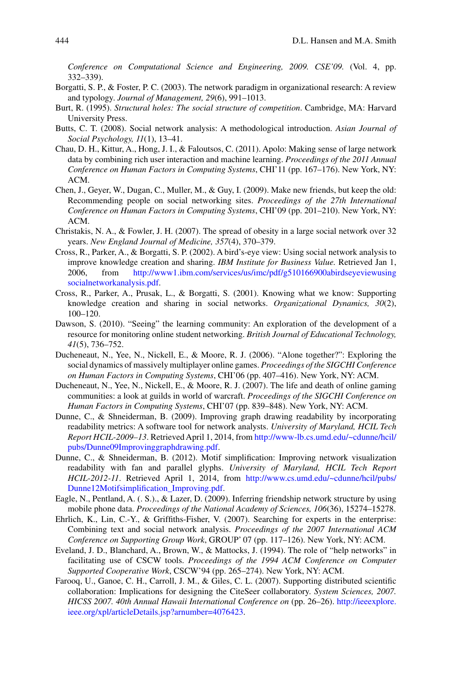<span id="page-23-0"></span>*Conference on Computational Science and Engineering, 2009. CSE'09.* (Vol. 4, pp. 332–339).

- Borgatti, S. P., & Foster, P. C. (2003). The network paradigm in organizational research: A review and typology. *Journal of Management*, 29(6), 991-1013.
- Burt, R. (1995). *Structural holes: The social structure of competition* . Cambridge, MA: Harvard University Press.
- Butts, C. T. (2008). Social network analysis: A methodological introduction. *Asian Journal of Social Psychology, 11* (1), 13–41.
- Chau, D. H., Kittur, A., Hong, J. I., & Faloutsos, C. (2011). Apolo: Making sense of large network data by combining rich user interaction and machine learning. *Proceedings of the 2011 Annual Conference on Human Factors in Computing Systems* , CHI'11 (pp. 167–176). New York, NY: ACM.
- Chen, J., Geyer, W., Dugan, C., Muller, M., & Guy, I. (2009). Make new friends, but keep the old: Recommending people on social networking sites. *Proceedings of the 27th International Conference on Human Factors in Computing Systems* , CHI'09 (pp. 201–210). New York, NY: ACM.
- Christakis, N. A., & Fowler, J. H. (2007). The spread of obesity in a large social network over 32 years. *New England Journal of Medicine, 357* (4), 370–379.
- Cross, R., Parker, A., & Borgatti, S. P. (2002). A bird's-eye view: Using social network analysis to improve knowledge creation and sharing. *IBM Institute for Business Value.* Retrieved Jan 1, 2006, from [http://www1.ibm.com/services/us/imc/pdf/g510166900abirdseyeviewusing](http://www1.ibm.com/services/us/imc/pdf/g510166900abirdseyeviewusingsocialnetworkanalysis.pdf) [socialnetworkanalysis.pdf](http://www1.ibm.com/services/us/imc/pdf/g510166900abirdseyeviewusingsocialnetworkanalysis.pdf).
- Cross, R., Parker, A., Prusak, L., & Borgatti, S. (2001). Knowing what we know: Supporting knowledge creation and sharing in social networks. *Organizational Dynamics*, 30(2), 100–120.
- Dawson, S. (2010). "Seeing" the learning community: An exploration of the development of a resource for monitoring online student networking. *British Journal of Educational Technology, 41* (5), 736–752.
- Ducheneaut, N., Yee, N., Nickell, E., & Moore, R. J. (2006). "Alone together?": Exploring the social dynamics of massively multiplayer online games. *Proceedings of the SIGCHI Conference on Human Factors in Computing Systems* , CHI'06 (pp. 407–416). New York, NY: ACM.
- Ducheneaut, N., Yee, N., Nickell, E., & Moore, R. J. (2007). The life and death of online gaming communities: a look at guilds in world of warcraft. *Proceedings of the SIGCHI Conference on Human Factors in Computing Systems* , CHI'07 (pp. 839–848). New York, NY: ACM.
- Dunne, C., & Shneiderman, B. (2009). Improving graph drawing readability by incorporating readability metrics: A software tool for network analysts. *University of Maryland, HCIL Tech Report HCIL-2009–13* . Retrieved April 1, 2014, from [http://www-lb.cs.umd.edu/~cdunne/hcil/](http://www-lb.cs.umd.edu/~cdunne/hcil/pubs/Dunne09Improvinggraphdrawing.pdf) [pubs/Dunne09Improvinggraphdrawing.pdf.](http://www-lb.cs.umd.edu/~cdunne/hcil/pubs/Dunne09Improvinggraphdrawing.pdf)
- Dunne, C., & Shneiderman, B. (2012). Motif simplification: Improving network visualization readability with fan and parallel glyphs. *University of Maryland, HCIL Tech Report HCIL-2012- 11* . Retrieved April 1, 2014, from [http://www.cs.umd.edu/~cdunne/hcil/pubs/](http://www.cs.umd.edu/~cdunne/hcil/pubs/Dunne12Motifsimplification_Improving.pdf) Dunne12Motifsimplification\_Improving.pdf.
- Eagle, N., Pentland, A. (. S.)., & Lazer, D. (2009). Inferring friendship network structure by using mobile phone data. *Proceedings of the National Academy of Sciences, 106* (36), 15274–15278.
- Ehrlich, K., Lin, C.-Y., & Griffiths-Fisher, V. (2007). Searching for experts in the enterprise: Combining text and social network analysis. *Proceedings of the 2007 International ACM Conference on Supporting Group Work* , GROUP' 07 (pp. 117–126). New York, NY: ACM.
- Eveland, J. D., Blanchard, A., Brown, W., & Mattocks, J. (1994). The role of "help networks" in facilitating use of CSCW tools. *Proceedings of the 1994 ACM Conference on Computer Supported Cooperative Work* , CSCW'94 (pp. 265–274). New York, NY: ACM.
- Farooq, U., Ganoe, C. H., Carroll, J. M., & Giles, C. L. (2007). Supporting distributed scientific collaboration: Implications for designing the CiteSeer collaboratory. *System Sciences, 2007. HICSS 2007. 40th Annual Hawaii International Conference on* (pp. 26–26). [http://ieeexplore.](http://ieeexplore.ieee.org/xpl/articleDetails.jsp?arnumber=4076423) [ieee.org/xpl/articleDetails.jsp?arnumber=4076423.](http://ieeexplore.ieee.org/xpl/articleDetails.jsp?arnumber=4076423)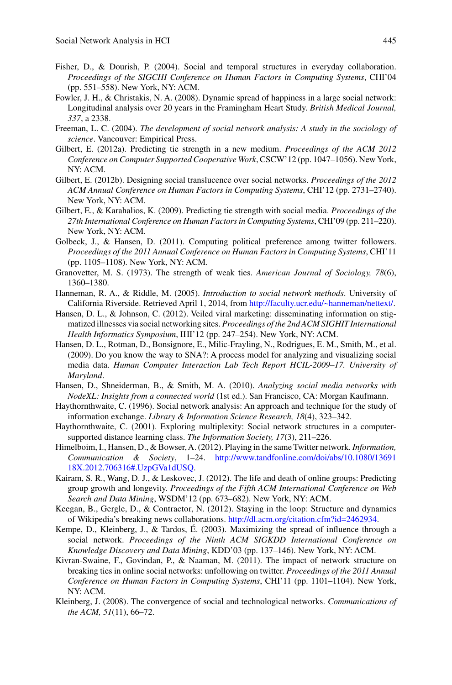- <span id="page-24-0"></span> Fisher, D., & Dourish, P. (2004). Social and temporal structures in everyday collaboration. *Proceedings of the SIGCHI Conference on Human Factors in Computing Systems* , CHI'04 (pp. 551–558). New York, NY: ACM.
- Fowler, J. H., & Christakis, N. A. (2008). Dynamic spread of happiness in a large social network: Longitudinal analysis over 20 years in the Framingham Heart Study. *British Medical Journal, 337* , a 2338.
- Freeman, L. C. (2004). *The development of social network analysis: A study in the sociology of science* . Vancouver: Empirical Press.
- Gilbert, E. (2012a). Predicting tie strength in a new medium. *Proceedings of the ACM 2012 Conference on Computer Supported Cooperative Work* , CSCW'12 (pp. 1047–1056). New York, NY: ACM.
- Gilbert, E. (2012b). Designing social translucence over social networks. *Proceedings of the 2012 ACM Annual Conference on Human Factors in Computing Systems* , CHI'12 (pp. 2731–2740). New York, NY: ACM.
- Gilbert, E., & Karahalios, K. (2009). Predicting tie strength with social media. *Proceedings of the 27th International Conference on Human Factors in Computing Systems* , CHI'09 (pp. 211–220). New York, NY: ACM.
- Golbeck, J., & Hansen, D. (2011). Computing political preference among twitter followers. *Proceedings of the 2011 Annual Conference on Human Factors in Computing Systems* , CHI'11 (pp. 1105–1108). New York, NY: ACM.
- Granovetter, M. S. (1973). The strength of weak ties. *American Journal of Sociology, 78* (6), 1360–1380.
- Hanneman, R. A., & Riddle, M. (2005). *Introduction to social network methods* . University of California Riverside. Retrieved April 1, 2014, from [http://faculty.ucr.edu/~hanneman/nettext/](http://faculty.ucr.edu/%7ehanneman/nettext/).
- Hansen, D. L., & Johnson, C. (2012). Veiled viral marketing: disseminating information on stigmatized illnesses via social networking sites. *Proceedings of the 2nd ACM SIGHIT International Health Informatics Symposium* , IHI'12 (pp. 247–254). New York, NY: ACM.
- Hansen, D. L., Rotman, D., Bonsignore, E., Milic-Frayling, N., Rodrigues, E. M., Smith, M., et al. (2009). Do you know the way to SNA?: A process model for analyzing and visualizing social media data. *Human Computer Interaction Lab Tech Report HCIL-2009–17. University of Maryland* .
- Hansen, D., Shneiderman, B., & Smith, M. A. (2010). *Analyzing social media networks with NodeXL: Insights from a connected world* (1st ed.). San Francisco, CA: Morgan Kaufmann.
- Haythornthwaite, C. (1996). Social network analysis: An approach and technique for the study of information exchange. *Library & Information Science Research, 18* (4), 323–342.
- Haythornthwaite, C. (2001). Exploring multiplexity: Social network structures in a computersupported distance learning class. *The Information Society, 17*(3), 211-226.
- Himelboim, I., Hansen, D., & Bowser, A. (2012). Playing in the same Twitter network. *Information, Communication & Society* , 1–24. [http://www.tandfonline.com/doi/abs/10.1080/13691](http://www.tandfonline.com/doi/abs/10.1080/1369118X.2012.706316%23.UzpGVa1dUSQ) [18X.2012.706316#.UzpGVa1dUSQ](http://www.tandfonline.com/doi/abs/10.1080/1369118X.2012.706316%23.UzpGVa1dUSQ).
- Kairam, S. R., Wang, D. J., & Leskovec, J. (2012). The life and death of online groups: Predicting group growth and longevity. *Proceedings of the Fifth ACM International Conference on Web Search and Data Mining* , WSDM'12 (pp. 673–682). New York, NY: ACM.
- Keegan, B., Gergle, D., & Contractor, N. (2012). Staying in the loop: Structure and dynamics of Wikipedia's breaking news collaborations. [http://dl.acm.org/citation.cfm?id=2462934.](http://dl.acm.org/citation.cfm?id=2462934)
- Kempe, D., Kleinberg, J., & Tardos, É. (2003). Maximizing the spread of influence through a social network. *Proceedings of the Ninth ACM SIGKDD International Conference on Knowledge Discovery and Data Mining* , KDD'03 (pp. 137–146). New York, NY: ACM.
- Kivran-Swaine, F., Govindan, P., & Naaman, M. (2011). The impact of network structure on breaking ties in online social networks: unfollowing on twitter. *Proceedings of the 2011 Annual Conference on Human Factors in Computing Systems* , CHI'11 (pp. 1101–1104). New York, NY: ACM.
- Kleinberg, J. (2008). The convergence of social and technological networks. *Communications of the ACM, 51* (11), 66–72.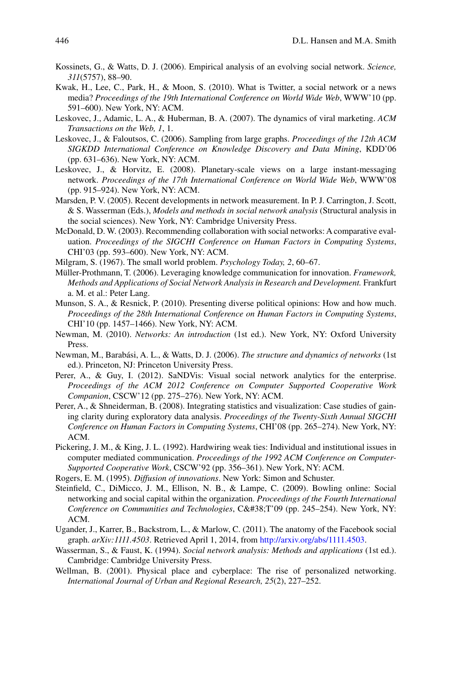- <span id="page-25-0"></span> Kossinets, G., & Watts, D. J. (2006). Empirical analysis of an evolving social network. *Science, 311* (5757), 88–90.
- Kwak, H., Lee, C., Park, H., & Moon, S. (2010). What is Twitter, a social network or a news media? *Proceedings of the 19th International Conference on World Wide Web* , WWW'10 (pp. 591–600). New York, NY: ACM.
- Leskovec, J., Adamic, L. A., & Huberman, B. A. (2007). The dynamics of viral marketing. *ACM Transactions on the Web, 1, 1.*
- Leskovec, J., & Faloutsos, C. (2006). Sampling from large graphs. *Proceedings of the 12th ACM SIGKDD International Conference on Knowledge Discovery and Data Mining* , KDD'06 (pp. 631–636). New York, NY: ACM.
- Leskovec, J., & Horvitz, E. (2008). Planetary-scale views on a large instant-messaging network. *Proceedings of the 17th International Conference on World Wide Web* , WWW'08 (pp. 915–924). New York, NY: ACM.
- Marsden, P. V. (2005). Recent developments in network measurement. In P. J. Carrington, J. Scott, & S. Wasserman (Eds.), *Models and methods in social network analysis* (Structural analysis in the social sciences). New York, NY: Cambridge University Press.
- McDonald, D. W. (2003). Recommending collaboration with social networks: A comparative evaluation. *Proceedings of the SIGCHI Conference on Human Factors in Computing Systems* , CHI'03 (pp. 593–600). New York, NY: ACM.
- Milgram, S. (1967). The small world problem. *Psychology Today, 2* , 60–67.
- Müller-Prothmann, T. (2006). Leveraging knowledge communication for innovation. *Framework, Methods and Applications of Social Network Analysis in Research and Development.* Frankfurt a. M. et al.: Peter Lang.
- Munson, S. A., & Resnick, P. (2010). Presenting diverse political opinions: How and how much. *Proceedings of the 28th International Conference on Human Factors in Computing Systems* , CHI'10 (pp. 1457–1466). New York, NY: ACM.
- Newman, M. (2010). *Networks: An introduction* (1st ed.). New York, NY: Oxford University Press.
- Newman, M., Barabási, A. L., & Watts, D. J. (2006). *The structure and dynamics of networks* (1st ed.). Princeton, NJ: Princeton University Press.
- Perer, A., & Guy, I. (2012). SaNDVis: Visual social network analytics for the enterprise. *Proceedings of the ACM 2012 Conference on Computer Supported Cooperative Work Companion* , CSCW'12 (pp. 275–276). New York, NY: ACM.
- Perer, A., & Shneiderman, B. (2008). Integrating statistics and visualization: Case studies of gaining clarity during exploratory data analysis. *Proceedings of the Twenty-Sixth Annual SIGCHI Conference on Human Factors in Computing Systems* , CHI'08 (pp. 265–274). New York, NY: ACM.
- Pickering, J. M., & King, J. L. (1992). Hardwiring weak ties: Individual and institutional issues in computer mediated communication. *Proceedings of the 1992 ACM Conference on Computer-Supported Cooperative Work* , CSCW'92 (pp. 356–361). New York, NY: ACM.
- Rogers, E. M. (1995). *Diffusion of innovations* . New York: Simon and Schuster.
- Steinfield, C., DiMicco, J. M., Ellison, N. B., & Lampe, C. (2009). Bowling online: Social networking and social capital within the organization. *Proceedings of the Fourth International Conference on Communities and Technologies*, C&T'09 (pp. 245–254). New York, NY: ACM.
- Ugander, J., Karrer, B., Backstrom, L., & Marlow, C. (2011). The anatomy of the Facebook social graph. *arXiv:1111.4503* . Retrieved April 1, 2014, from [http://arxiv.org/abs/1111.4503.](http://arxiv.org/abs/1111.4503)
- Wasserman, S., & Faust, K. (1994). *Social network analysis: Methods and applications* (1st ed.). Cambridge: Cambridge University Press.
- Wellman, B. (2001). Physical place and cyberplace: The rise of personalized networking. *International Journal of Urban and Regional Research, 25* (2), 227–252.